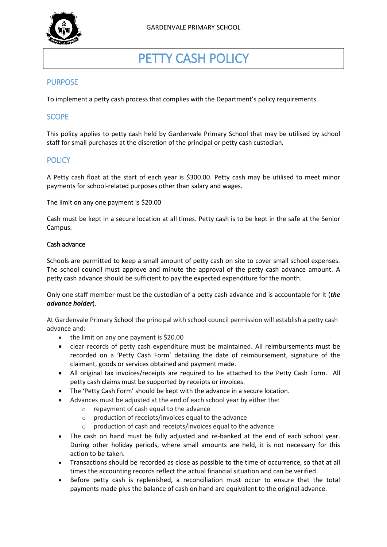

# PETTY CASH POLICY

## PURPOSE

To implement a petty cash process that complies with the Department's policy requirements.

## **SCOPE**

This policy applies to petty cash held by Gardenvale Primary School that may be utilised by school staff for small purchases at the discretion of the principal or petty cash custodian.

## **POLICY**

A Petty cash float at the start of each year is \$300.00. Petty cash may be utilised to meet minor payments for school-related purposes other than salary and wages.

The limit on any one payment is \$20.00

Cash must be kept in a secure location at all times. Petty cash is to be kept in the safe at the Senior Campus.

#### Cash advance

Schools are permitted to keep a small amount of petty cash on site to cover small school expenses. The school council must approve and minute the approval of the petty cash advance amount. A petty cash advance should be sufficient to pay the expected expenditure for the month.

Only one staff member must be the custodian of a petty cash advance and is accountable for it (*the advance holder*).

At Gardenvale Primary School the principal with school council permission will establish a petty cash advance and:

- the limit on any one payment is \$20.00
- clear records of petty cash expenditure must be maintained. All reimbursements must be recorded on a 'Petty Cash Form' detailing the date of reimbursement, signature of the claimant, goods or services obtained and payment made.
- All original tax invoices/receipts are required to be attached to the Petty Cash Form. All petty cash claims must be supported by receipts or invoices.
- The 'Petty Cash Form' should be kept with the advance in a secure location.
- Advances must be adjusted at the end of each school year by either the:
	- o repayment of cash equal to the advance
	- o production of receipts/invoices equal to the advance
	- o production of cash and receipts/invoices equal to the advance.
- The cash on hand must be fully adjusted and re-banked at the end of each school year. During other holiday periods, where small amounts are held, it is not necessary for this action to be taken.
- Transactions should be recorded as close as possible to the time of occurrence, so that at all times the accounting records reflect the actual financial situation and can be verified.
- Before petty cash is replenished, a reconciliation must occur to ensure that the total payments made plus the balance of cash on hand are equivalent to the original advance.